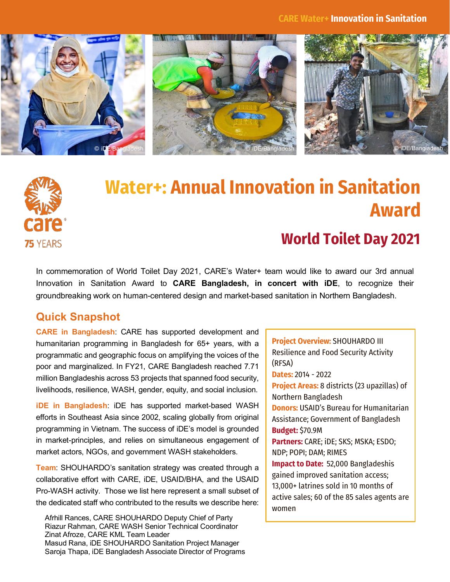







# **Water+: Annual Innovation in Sanitation Award**

# **World Toilet Day 2021**

In commemoration of World Toilet Day 2021, CARE's Water+ team would like to award our 3rd annual Innovation in Sanitation Award to **CARE Bangladesh, in concert with iDE**, to recognize their groundbreaking work on human-centered design and market-based sanitation in Northern Bangladesh.

## **Quick Snapshot**

**CARE in Bangladesh**: CARE has supported development and humanitarian programming in Bangladesh for 65+ years, with a programmatic and geographic focus on amplifying the voices of the poor and marginalized. In FY21, CARE Bangladesh reached 7.71 million Bangladeshis across 53 projects that spanned food security, livelihoods, resilience, WASH, gender, equity, and social inclusion.

**iDE in Bangladesh**: iDE has supported market-based WASH efforts in Southeast Asia since 2002, scaling globally from original programming in Vietnam. The success of iDE's model is grounded in market-principles, and relies on simultaneous engagement of market actors, NGOs, and government WASH stakeholders.

**Team:** SHOUHARDO's sanitation strategy was created through a collaborative effort with CARE, iDE, USAID/BHA, and the USAID Pro-WASH activity. Those we list here represent a small subset of the dedicated staff who contributed to the results we describe here:

Afrhill Rances, CARE SHOUHARDO Deputy Chief of Party Riazur Rahman, CARE WASH Senior Technical Coordinator Zinat Afroze, CARE KML Team Leader Masud Rana, iDE SHOUHARDO Sanitation Project Manager Saroja Thapa, iDE Bangladesh Associate Director of Programs **Project Overview:** SHOUHARDO III Resilience and Food Security Activity (RFSA) **Dates:** 2014 - 2022 **Project Areas:** 8 districts (23 upazillas) of Northern Bangladesh **Donors:** USAID's Bureau for Humanitarian Assistance; Government of Bangladesh **Budget:** \$70.9M **Partners:** CARE; iDE; SKS; MSKA; ESDO; NDP; POPI; DAM; RIMES **Impact to Date:** 52,000 Bangladeshis gained improved sanitation access; 13,000+ latrines sold in 10 months of active sales; 60 of the 85 sales agents are women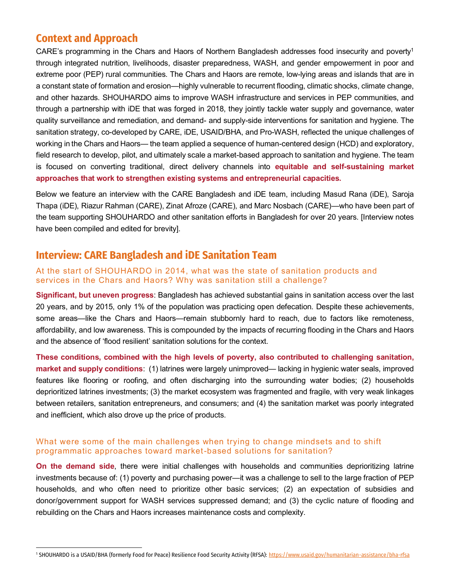### **Context and Approach**

CARE's programming in the Chars and Haors of Northern Bangladesh addresses food insecurity and poverty<sup>1</sup> through integrated nutrition, livelihoods, disaster preparedness, WASH, and gender empowerment in poor and extreme poor (PEP) rural communities. The Chars and Haors are remote, low-lying areas and islands that are in a constant state of formation and erosion—highly vulnerable to recurrent flooding, climatic shocks, climate change, and other hazards. SHOUHARDO aims to improve WASH infrastructure and services in PEP communities, and through a partnership with iDE that was forged in 2018, they jointly tackle water supply and governance, water quality surveillance and remediation, and demand- and supply-side interventions for sanitation and hygiene. The sanitation strategy, co-developed by CARE, iDE, USAID/BHA, and Pro-WASH, reflected the unique challenges of working in the Chars and Haors— the team applied a sequence of human-centered design (HCD) and exploratory, field research to develop, pilot, and ultimately scale a market-based approach to sanitation and hygiene. The team is focused on converting traditional, direct delivery channels into **equitable and self-sustaining market approaches that work to strengthen existing systems and entrepreneurial capacities.**

Below we feature an interview with the CARE Bangladesh and iDE team, including Masud Rana (iDE), Saroja Thapa (iDE), Riazur Rahman (CARE), Zinat Afroze (CARE), and Marc Nosbach (CARE)—who have been part of the team supporting SHOUHARDO and other sanitation efforts in Bangladesh for over 20 years. [Interview notes have been compiled and edited for brevity].

## **Interview: CARE Bangladesh and iDE Sanitation Team**

#### At the start of SHOUHARDO in 2014, what was the state of sanitation products and services in the Chars and Haors? Why was sanitation still a challenge?

**Significant, but uneven progress**: Bangladesh has achieved substantial gains in sanitation access over the last 20 years, and by 2015, only 1% of the population was practicing open defecation. Despite these achievements, some areas—like the Chars and Haors—remain stubbornly hard to reach, due to factors like remoteness, affordability, and low awareness. This is compounded by the impacts of recurring flooding in the Chars and Haors and the absence of 'flood resilient' sanitation solutions for the context.

**These conditions, combined with the high levels of poverty, also contributed to challenging sanitation, market and supply conditions**: (1) latrines were largely unimproved— lacking in hygienic water seals, improved features like flooring or roofing, and often discharging into the surrounding water bodies; (2) households deprioritized latrines investments; (3) the market ecosystem was fragmented and fragile, with very weak linkages between retailers, sanitation entrepreneurs, and consumers; and (4) the sanitation market was poorly integrated and inefficient, which also drove up the price of products.

#### What were some of the main challenges when trying to change mindsets and to shift programmatic approaches toward market-based solutions for sanitation?

**On the demand side**, there were initial challenges with households and communities deprioritizing latrine investments because of: (1) poverty and purchasing power—it was a challenge to sell to the large fraction of PEP households, and who often need to prioritize other basic services; (2) an expectation of subsidies and donor/government support for WASH services suppressed demand; and (3) the cyclic nature of flooding and rebuilding on the Chars and Haors increases maintenance costs and complexity.

<sup>&</sup>lt;sup>1</sup> SHOUHARDO is a USAID/BHA (formerly Food for Peace) Resilience Food Security Activity (RFSA)[: https://www.usaid.gov/humanitarian-assistance/bha-rfsa](https://www.usaid.gov/humanitarian-assistance/bha-rfsa)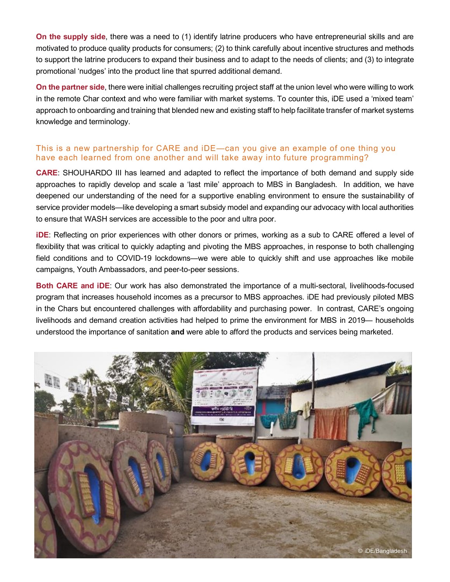**On the supply side**, there was a need to (1) identify latrine producers who have entrepreneurial skills and are motivated to produce quality products for consumers; (2) to think carefully about incentive structures and methods to support the latrine producers to expand their business and to adapt to the needs of clients; and (3) to integrate promotional 'nudges' into the product line that spurred additional demand.

**On the partner side**, there were initial challenges recruiting project staff at the union level who were willing to work in the remote Char context and who were familiar with market systems. To counter this, iDE used a 'mixed team' approach to onboarding and training that blended new and existing staff to help facilitate transfer of market systems knowledge and terminology.

#### This is a new partnership for CARE and iDE—can you give an example of one thing you have each learned from one another and will take away into future programming?

**CARE**: SHOUHARDO III has learned and adapted to reflect the importance of both demand and supply side approaches to rapidly develop and scale a 'last mile' approach to MBS in Bangladesh. In addition, we have deepened our understanding of the need for a supportive enabling environment to ensure the sustainability of service provider models—like developing a smart subsidy model and expanding our advocacy with local authorities to ensure that WASH services are accessible to the poor and ultra poor.

**iDE**: Reflecting on prior experiences with other donors or primes, working as a sub to CARE offered a level of flexibility that was critical to quickly adapting and pivoting the MBS approaches, in response to both challenging field conditions and to COVID-19 lockdowns—we were able to quickly shift and use approaches like mobile campaigns, Youth Ambassadors, and peer-to-peer sessions.

**Both CARE and iDE**: Our work has also demonstrated the importance of a multi-sectoral, livelihoods-focused program that increases household incomes as a precursor to MBS approaches. iDE had previously piloted MBS in the Chars but encountered challenges with affordability and purchasing power. In contrast, CARE's ongoing livelihoods and demand creation activities had helped to prime the environment for MBS in 2019— households understood the importance of sanitation **and** were able to afford the products and services being marketed.